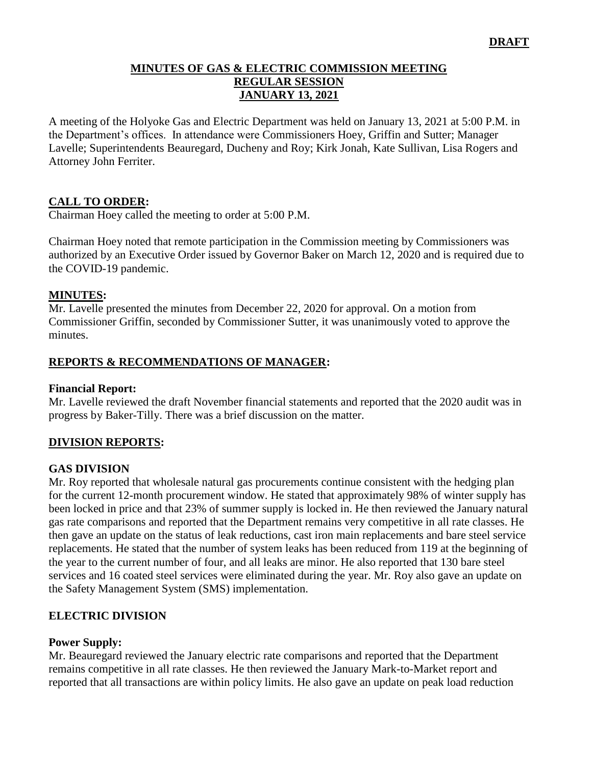#### **MINUTES OF GAS & ELECTRIC COMMISSION MEETING REGULAR SESSION JANUARY 13, 2021**

A meeting of the Holyoke Gas and Electric Department was held on January 13, 2021 at 5:00 P.M. in the Department's offices. In attendance were Commissioners Hoey, Griffin and Sutter; Manager Lavelle; Superintendents Beauregard, Ducheny and Roy; Kirk Jonah, Kate Sullivan, Lisa Rogers and Attorney John Ferriter.

# **CALL TO ORDER:**

Chairman Hoey called the meeting to order at 5:00 P.M.

Chairman Hoey noted that remote participation in the Commission meeting by Commissioners was authorized by an Executive Order issued by Governor Baker on March 12, 2020 and is required due to the COVID-19 pandemic.

## **MINUTES:**

Mr. Lavelle presented the minutes from December 22, 2020 for approval. On a motion from Commissioner Griffin, seconded by Commissioner Sutter, it was unanimously voted to approve the minutes.

## **REPORTS & RECOMMENDATIONS OF MANAGER:**

#### **Financial Report:**

Mr. Lavelle reviewed the draft November financial statements and reported that the 2020 audit was in progress by Baker-Tilly. There was a brief discussion on the matter.

## **DIVISION REPORTS:**

## **GAS DIVISION**

Mr. Roy reported that wholesale natural gas procurements continue consistent with the hedging plan for the current 12-month procurement window. He stated that approximately 98% of winter supply has been locked in price and that 23% of summer supply is locked in. He then reviewed the January natural gas rate comparisons and reported that the Department remains very competitive in all rate classes. He then gave an update on the status of leak reductions, cast iron main replacements and bare steel service replacements. He stated that the number of system leaks has been reduced from 119 at the beginning of the year to the current number of four, and all leaks are minor. He also reported that 130 bare steel services and 16 coated steel services were eliminated during the year. Mr. Roy also gave an update on the Safety Management System (SMS) implementation.

## **ELECTRIC DIVISION**

#### **Power Supply:**

Mr. Beauregard reviewed the January electric rate comparisons and reported that the Department remains competitive in all rate classes. He then reviewed the January Mark-to-Market report and reported that all transactions are within policy limits. He also gave an update on peak load reduction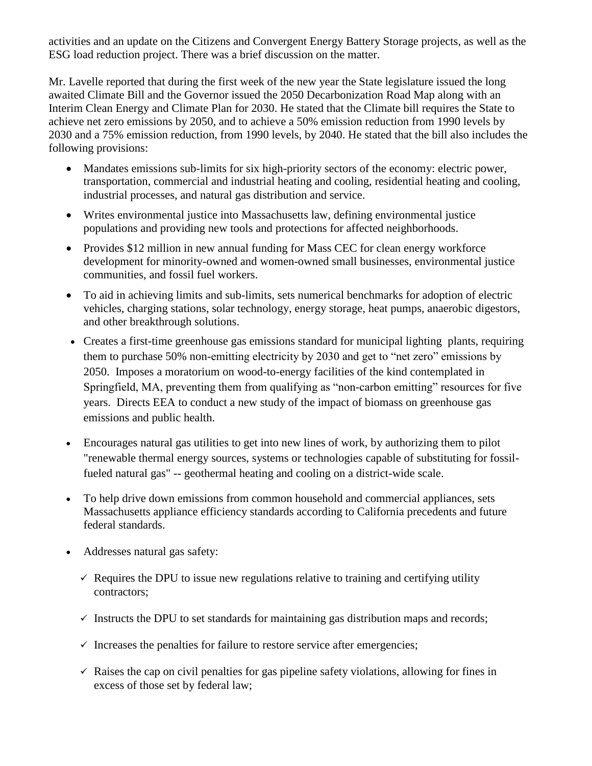activities and an update on the Citizens and Convergent Energy Battery Storage projects, as well as the ESG load reduction project. There was a brief discussion on the matter.

Mr. Lavelle reported that during the first week of the new year the State legislature issued the long awaited Climate Bill and the Governor issued the 2050 Decarbonization Road Map along with an Interim Clean Energy and Climate Plan for 2030. He stated that the Climate bill requires the State to achieve net zero emissions by 2050, and to achieve a 50% emission reduction from 1990 levels by 2030 and a 75% emission reduction, from 1990 levels, by 2040. He stated that the bill also includes the following provisions:

- Mandates emissions sub-limits for six high-priority sectors of the economy: electric power, transportation, commercial and industrial heating and cooling, residential heating and cooling, industrial processes, and natural gas distribution and service.
- Writes environmental justice into Massachusetts law, defining environmental justice populations and providing new tools and protections for affected neighborhoods.
- Provides \$12 million in new annual funding for Mass CEC for clean energy workforce development for minority-owned and women-owned small businesses, environmental justice communities, and fossil fuel workers.
- To aid in achieving limits and sub-limits, sets numerical benchmarks for adoption of electric vehicles, charging stations, solar technology, energy storage, heat pumps, anaerobic digestors, and other breakthrough solutions.
- Creates a first-time greenhouse gas emissions standard for municipal lighting plants, requiring them to purchase 50% non-emitting electricity by 2030 and get to "net zero" emissions by 2050. Imposes a moratorium on wood-to-energy facilities of the kind contemplated in Springfield, MA, preventing them from qualifying as "non-carbon emitting" resources for five years. Directs EEA to conduct a new study of the impact of biomass on greenhouse gas emissions and public health.
- Encourages natural gas utilities to get into new lines of work, by authorizing them to pilot "renewable thermal energy sources, systems or technologies capable of substituting for fossilfueled natural gas" -- geothermal heating and cooling on a district-wide scale.
- To help drive down emissions from common household and commercial appliances, sets Massachusetts appliance efficiency standards according to California precedents and future federal standards.
- Addresses natural gas safety:
	- $\checkmark$  Requires the DPU to issue new regulations relative to training and certifying utility contractors;
	- $\checkmark$  Instructs the DPU to set standards for maintaining gas distribution maps and records;
	- $\checkmark$  Increases the penalties for failure to restore service after emergencies;
	- $\checkmark$  Raises the cap on civil penalties for gas pipeline safety violations, allowing for fines in excess of those set by federal law;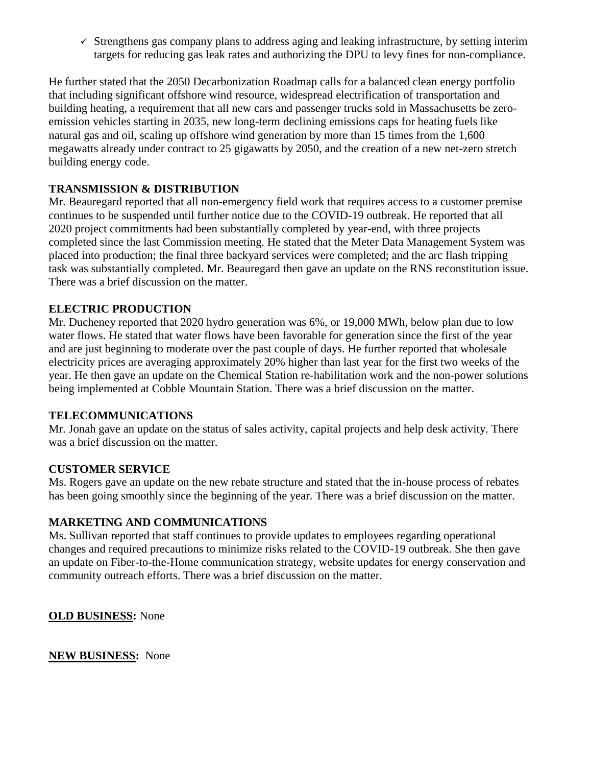$\checkmark$  Strengthens gas company plans to address aging and leaking infrastructure, by setting interim targets for reducing gas leak rates and authorizing the DPU to levy fines for non-compliance.

He further stated that the 2050 Decarbonization Roadmap calls for a balanced clean energy portfolio that including significant offshore wind resource, widespread electrification of transportation and building heating, a requirement that all new cars and passenger trucks sold in Massachusetts be zeroemission vehicles starting in 2035, new long-term declining emissions caps for heating fuels like natural gas and oil, scaling up offshore wind generation by more than 15 times from the 1,600 megawatts already under contract to 25 gigawatts by 2050, and the creation of a new net-zero stretch building energy code.

# **TRANSMISSION & DISTRIBUTION**

Mr. Beauregard reported that all non-emergency field work that requires access to a customer premise continues to be suspended until further notice due to the COVID-19 outbreak. He reported that all 2020 project commitments had been substantially completed by year-end, with three projects completed since the last Commission meeting. He stated that the Meter Data Management System was placed into production; the final three backyard services were completed; and the arc flash tripping task was substantially completed. Mr. Beauregard then gave an update on the RNS reconstitution issue. There was a brief discussion on the matter.

## **ELECTRIC PRODUCTION**

Mr. Ducheney reported that 2020 hydro generation was 6%, or 19,000 MWh, below plan due to low water flows. He stated that water flows have been favorable for generation since the first of the year and are just beginning to moderate over the past couple of days. He further reported that wholesale electricity prices are averaging approximately 20% higher than last year for the first two weeks of the year. He then gave an update on the Chemical Station re-habilitation work and the non-power solutions being implemented at Cobble Mountain Station. There was a brief discussion on the matter.

## **TELECOMMUNICATIONS**

Mr. Jonah gave an update on the status of sales activity, capital projects and help desk activity. There was a brief discussion on the matter.

## **CUSTOMER SERVICE**

Ms. Rogers gave an update on the new rebate structure and stated that the in-house process of rebates has been going smoothly since the beginning of the year. There was a brief discussion on the matter.

# **MARKETING AND COMMUNICATIONS**

Ms. Sullivan reported that staff continues to provide updates to employees regarding operational changes and required precautions to minimize risks related to the COVID-19 outbreak. She then gave an update on Fiber-to-the-Home communication strategy, website updates for energy conservation and community outreach efforts. There was a brief discussion on the matter.

**OLD BUSINESS:** None

**NEW BUSINESS:** None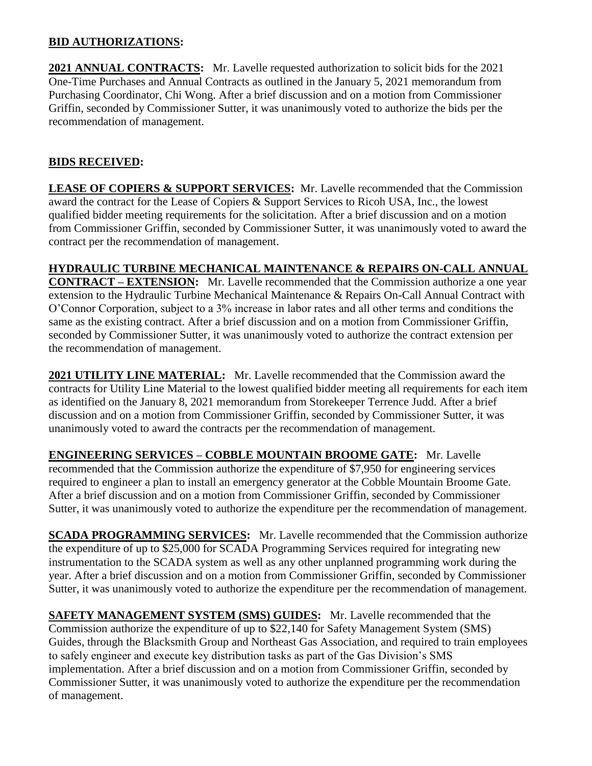## **BID AUTHORIZATIONS:**

**2021 ANNUAL CONTRACTS:** Mr. Lavelle requested authorization to solicit bids for the 2021 One-Time Purchases and Annual Contracts as outlined in the January 5, 2021 memorandum from Purchasing Coordinator, Chi Wong. After a brief discussion and on a motion from Commissioner Griffin, seconded by Commissioner Sutter, it was unanimously voted to authorize the bids per the recommendation of management.

# **BIDS RECEIVED:**

**LEASE OF COPIERS & SUPPORT SERVICES:** Mr. Lavelle recommended that the Commission award the contract for the Lease of Copiers & Support Services to Ricoh USA, Inc., the lowest qualified bidder meeting requirements for the solicitation. After a brief discussion and on a motion from Commissioner Griffin, seconded by Commissioner Sutter, it was unanimously voted to award the contract per the recommendation of management.

**HYDRAULIC TURBINE MECHANICAL MAINTENANCE & REPAIRS ON-CALL ANNUAL** 

**CONTRACT – EXTENSION:** Mr. Lavelle recommended that the Commission authorize a one year extension to the Hydraulic Turbine Mechanical Maintenance & Repairs On-Call Annual Contract with O'Connor Corporation, subject to a 3% increase in labor rates and all other terms and conditions the same as the existing contract. After a brief discussion and on a motion from Commissioner Griffin, seconded by Commissioner Sutter, it was unanimously voted to authorize the contract extension per the recommendation of management.

**2021 UTILITY LINE MATERIAL:** Mr. Lavelle recommended that the Commission award the contracts for Utility Line Material to the lowest qualified bidder meeting all requirements for each item as identified on the January 8, 2021 memorandum from Storekeeper Terrence Judd. After a brief discussion and on a motion from Commissioner Griffin, seconded by Commissioner Sutter, it was unanimously voted to award the contracts per the recommendation of management.

**ENGINEERING SERVICES – COBBLE MOUNTAIN BROOME GATE:** Mr. Lavelle recommended that the Commission authorize the expenditure of \$7,950 for engineering services required to engineer a plan to install an emergency generator at the Cobble Mountain Broome Gate. After a brief discussion and on a motion from Commissioner Griffin, seconded by Commissioner Sutter, it was unanimously voted to authorize the expenditure per the recommendation of management.

**SCADA PROGRAMMING SERVICES:** Mr. Lavelle recommended that the Commission authorize the expenditure of up to \$25,000 for SCADA Programming Services required for integrating new instrumentation to the SCADA system as well as any other unplanned programming work during the year. After a brief discussion and on a motion from Commissioner Griffin, seconded by Commissioner Sutter, it was unanimously voted to authorize the expenditure per the recommendation of management.

**SAFETY MANAGEMENT SYSTEM (SMS) GUIDES:** Mr. Lavelle recommended that the Commission authorize the expenditure of up to \$22,140 for Safety Management System (SMS) Guides, through the Blacksmith Group and Northeast Gas Association, and required to train employees to safely engineer and execute key distribution tasks as part of the Gas Division's SMS implementation. After a brief discussion and on a motion from Commissioner Griffin, seconded by Commissioner Sutter, it was unanimously voted to authorize the expenditure per the recommendation of management.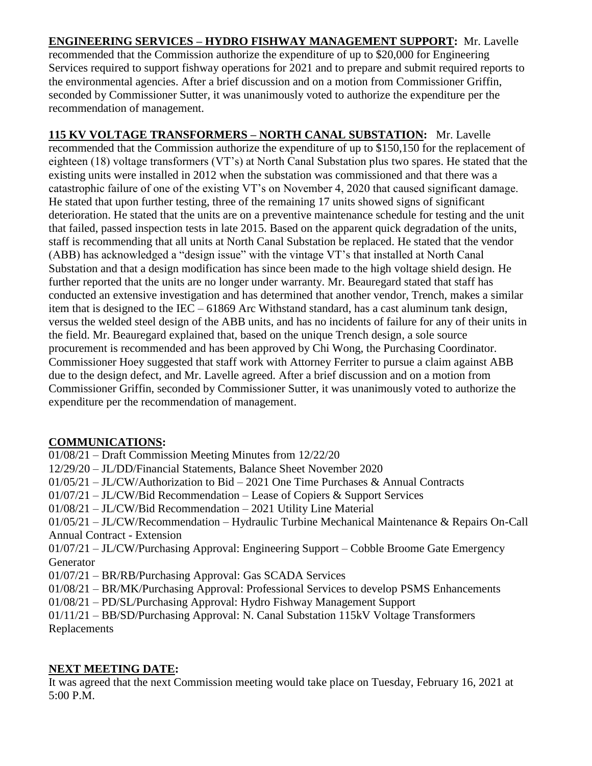**ENGINEERING SERVICES – HYDRO FISHWAY MANAGEMENT SUPPORT:** Mr. Lavelle recommended that the Commission authorize the expenditure of up to \$20,000 for Engineering Services required to support fishway operations for 2021 and to prepare and submit required reports to the environmental agencies. After a brief discussion and on a motion from Commissioner Griffin, seconded by Commissioner Sutter, it was unanimously voted to authorize the expenditure per the recommendation of management.

**115 KV VOLTAGE TRANSFORMERS – NORTH CANAL SUBSTATION:** Mr. Lavelle recommended that the Commission authorize the expenditure of up to \$150,150 for the replacement of eighteen (18) voltage transformers (VT's) at North Canal Substation plus two spares. He stated that the existing units were installed in 2012 when the substation was commissioned and that there was a catastrophic failure of one of the existing VT's on November 4, 2020 that caused significant damage. He stated that upon further testing, three of the remaining 17 units showed signs of significant deterioration. He stated that the units are on a preventive maintenance schedule for testing and the unit that failed, passed inspection tests in late 2015. Based on the apparent quick degradation of the units, staff is recommending that all units at North Canal Substation be replaced. He stated that the vendor (ABB) has acknowledged a "design issue" with the vintage VT's that installed at North Canal Substation and that a design modification has since been made to the high voltage shield design. He further reported that the units are no longer under warranty. Mr. Beauregard stated that staff has conducted an extensive investigation and has determined that another vendor, Trench, makes a similar item that is designed to the IEC – 61869 Arc Withstand standard, has a cast aluminum tank design, versus the welded steel design of the ABB units, and has no incidents of failure for any of their units in the field. Mr. Beauregard explained that, based on the unique Trench design, a sole source procurement is recommended and has been approved by Chi Wong, the Purchasing Coordinator. Commissioner Hoey suggested that staff work with Attorney Ferriter to pursue a claim against ABB due to the design defect, and Mr. Lavelle agreed. After a brief discussion and on a motion from Commissioner Griffin, seconded by Commissioner Sutter, it was unanimously voted to authorize the expenditure per the recommendation of management.

# **COMMUNICATIONS:**

01/08/21 – Draft Commission Meeting Minutes from 12/22/20 12/29/20 – JL/DD/Financial Statements, Balance Sheet November 2020 01/05/21 – JL/CW/Authorization to Bid – 2021 One Time Purchases & Annual Contracts 01/07/21 – JL/CW/Bid Recommendation – Lease of Copiers & Support Services 01/08/21 – JL/CW/Bid Recommendation – 2021 Utility Line Material 01/05/21 – JL/CW/Recommendation – Hydraulic Turbine Mechanical Maintenance & Repairs On-Call Annual Contract - Extension 01/07/21 – JL/CW/Purchasing Approval: Engineering Support – Cobble Broome Gate Emergency Generator 01/07/21 – BR/RB/Purchasing Approval: Gas SCADA Services 01/08/21 – BR/MK/Purchasing Approval: Professional Services to develop PSMS Enhancements 01/08/21 – PD/SL/Purchasing Approval: Hydro Fishway Management Support 01/11/21 – BB/SD/Purchasing Approval: N. Canal Substation 115kV Voltage Transformers Replacements

## **NEXT MEETING DATE:**

It was agreed that the next Commission meeting would take place on Tuesday, February 16, 2021 at 5:00 P.M.